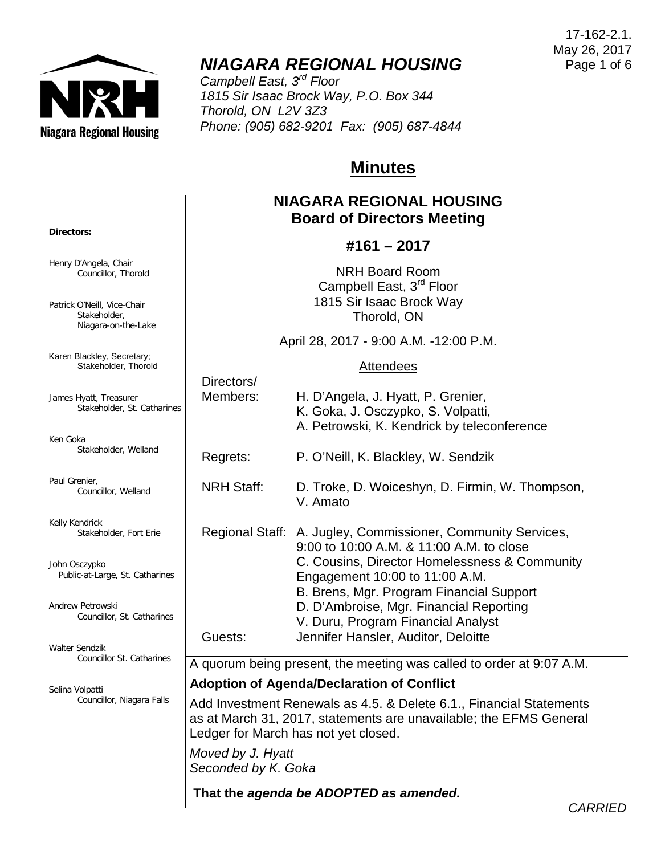

# *NIAGARA REGIONAL HOUSING*

*Campbell East, 3rd Floor 1815 Sir Isaac Brock Way, P.O. Box 344 Thorold, ON L2V 3Z3 Phone: (905) 682-9201 Fax: (905) 687-4844*

# **Minutes**

### **NIAGARA REGIONAL HOUSING Board of Directors Meeting**

### **#161 – 2017**

NRH Board Room Campbell East, 3<sup>rd</sup> Floor 1815 Sir Isaac Brock Way Thorold, ON

April 28, 2017 - 9:00 A.M. -12:00 P.M.

#### **Attendees**

| ines | Directors/<br>Members:                                                                                                                                                                                                        | H. D'Angela, J. Hyatt, P. Grenier,<br>K. Goka, J. Osczypko, S. Volpatti,<br>A. Petrowski, K. Kendrick by teleconference                                   |  |  |
|------|-------------------------------------------------------------------------------------------------------------------------------------------------------------------------------------------------------------------------------|-----------------------------------------------------------------------------------------------------------------------------------------------------------|--|--|
|      | Regrets:                                                                                                                                                                                                                      | P. O'Neill, K. Blackley, W. Sendzik                                                                                                                       |  |  |
|      | <b>NRH Staff:</b>                                                                                                                                                                                                             | D. Troke, D. Woiceshyn, D. Firmin, W. Thompson,<br>V. Amato                                                                                               |  |  |
|      |                                                                                                                                                                                                                               | Regional Staff: A. Jugley, Commissioner, Community Services,<br>9:00 to 10:00 A.M. & 11:00 A.M. to close<br>C. Cousins, Director Homelessness & Community |  |  |
| ies  |                                                                                                                                                                                                                               | Engagement 10:00 to 11:00 A.M.<br>B. Brens, Mgr. Program Financial Support                                                                                |  |  |
| es   |                                                                                                                                                                                                                               | D. D'Ambroise, Mgr. Financial Reporting<br>V. Duru, Program Financial Analyst                                                                             |  |  |
|      | Guests:                                                                                                                                                                                                                       | Jennifer Hansler, Auditor, Deloitte                                                                                                                       |  |  |
| эs   | A quorum being present, the meeting was called to order at 9:07 A.M.                                                                                                                                                          |                                                                                                                                                           |  |  |
|      | <b>Adoption of Agenda/Declaration of Conflict</b>                                                                                                                                                                             |                                                                                                                                                           |  |  |
| S    | Add Investment Renewals as 4.5. & Delete 6.1., Financial Statements<br>as at March 31, 2017, statements are unavailable; the EFMS General<br>Ledger for March has not yet closed.<br>Moved by J. Hyatt<br>Seconded by K. Goka |                                                                                                                                                           |  |  |
|      |                                                                                                                                                                                                                               |                                                                                                                                                           |  |  |
|      | That the agenda be ADOPTED as amended.                                                                                                                                                                                        |                                                                                                                                                           |  |  |

**Directors:**

Henry D'Angela, Chair Councillor, Thorold

Patrick O'Neill, Vice-Chair Stakeholder, Niagara-on-the-Lake

Karen Blackley, Secretary; Stakeholder, Thorold

James Hyatt, Treasurer Stakeholder, St. Cathar

Ken Goka Stakeholder, Welland

Paul Grenier, Councillor, Welland

Kelly Kendrick Stakeholder, Fort Erie

John Osczypko Public-at-Large, St. Catharin

Andrew Petrowski Councillor, St. Catharine

Walter Sendzik Councillor St. Catharine

Selina Volpatti Councillor, Niagara Falls

17-162-2.1. May 26, 2017 Page 1 of 6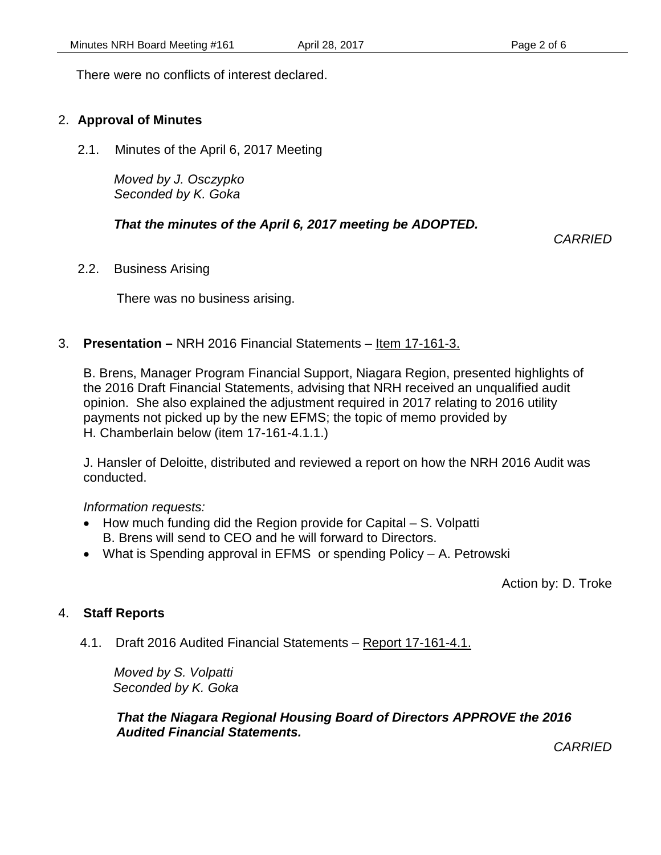There were no conflicts of interest declared.

#### 2. **Approval of Minutes**

2.1. Minutes of the April 6, 2017 Meeting

*Moved by J. Osczypko Seconded by K. Goka*

#### *That the minutes of the April 6, 2017 meeting be ADOPTED.*

*CARRIED*

2.2. Business Arising

There was no business arising.

### 3. **Presentation –** NRH 2016 Financial Statements – Item 17-161-3.

B. Brens, Manager Program Financial Support, Niagara Region, presented highlights of the 2016 Draft Financial Statements, advising that NRH received an unqualified audit opinion. She also explained the adjustment required in 2017 relating to 2016 utility payments not picked up by the new EFMS; the topic of memo provided by H. Chamberlain below (item 17-161-4.1.1.)

J. Hansler of Deloitte, distributed and reviewed a report on how the NRH 2016 Audit was conducted.

*Information requests:*

- How much funding did the Region provide for Capital S. Volpatti B. Brens will send to CEO and he will forward to Directors.
- What is Spending approval in EFMS or spending Policy A. Petrowski

Action by: D. Troke

#### 4. **Staff Reports**

4.1. Draft 2016 Audited Financial Statements – Report 17-161-4.1.

*Moved by S. Volpatti Seconded by K. Goka*

*That the Niagara Regional Housing Board of Directors APPROVE the 2016 Audited Financial Statements.*

*CARRIED*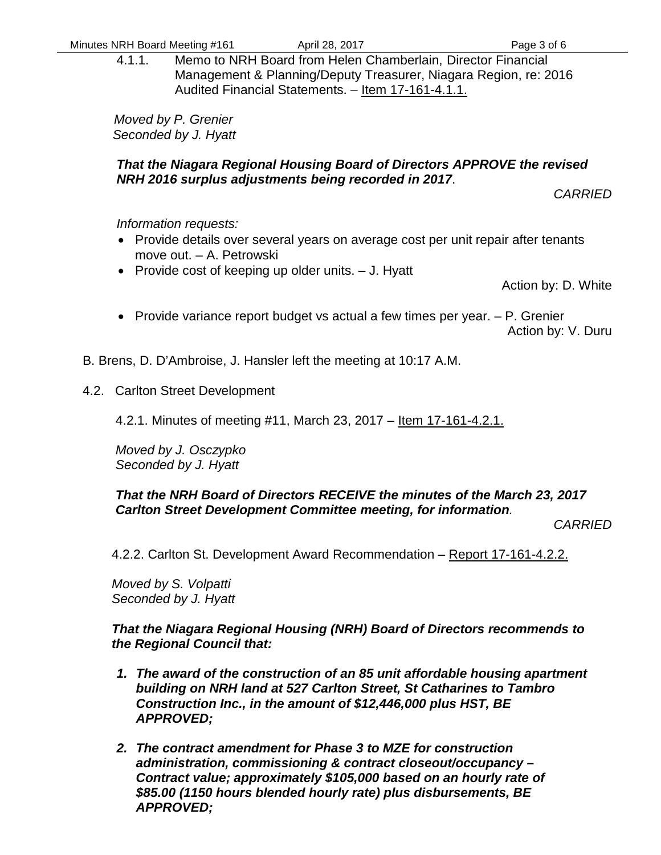4.1.1. Memo to NRH Board from Helen Chamberlain, Director Financial Management & Planning/Deputy Treasurer, Niagara Region, re: 2016 Audited Financial Statements. – Item 17-161-4.1.1.

*Moved by P. Grenier Seconded by J. Hyatt*

#### *That the Niagara Regional Housing Board of Directors APPROVE the revised NRH 2016 surplus adjustments being recorded in 2017*.

*CARRIED*

#### *Information requests:*

- Provide details over several years on average cost per unit repair after tenants move out. – A. Petrowski
- Provide cost of keeping up older units. J. Hyatt

Action by: D. White

• Provide variance report budget vs actual a few times per year. – P. Grenier

Action by: V. Duru

B. Brens, D. D'Ambroise, J. Hansler left the meeting at 10:17 A.M.

4.2. Carlton Street Development

4.2.1. Minutes of meeting #11, March 23, 2017 – <u>Item 17-161-4.2.1.</u>

*Moved by J. Osczypko Seconded by J. Hyatt*

#### *That the NRH Board of Directors RECEIVE the minutes of the March 23, 2017 Carlton Street Development Committee meeting, for information.*

*CARRIED*

4.2.2. Carlton St. Development Award Recommendation – Report 17-161-4.2.2.

*Moved by S. Volpatti Seconded by J. Hyatt*

#### *That the Niagara Regional Housing (NRH) Board of Directors recommends to the Regional Council that:*

- *1. The award of the construction of an 85 unit affordable housing apartment building on NRH land at 527 Carlton Street, St Catharines to Tambro Construction Inc., in the amount of \$12,446,000 plus HST, BE APPROVED;*
- *2. The contract amendment for Phase 3 to MZE for construction administration, commissioning & contract closeout/occupancy – Contract value; approximately \$105,000 based on an hourly rate of \$85.00 (1150 hours blended hourly rate) plus disbursements, BE APPROVED;*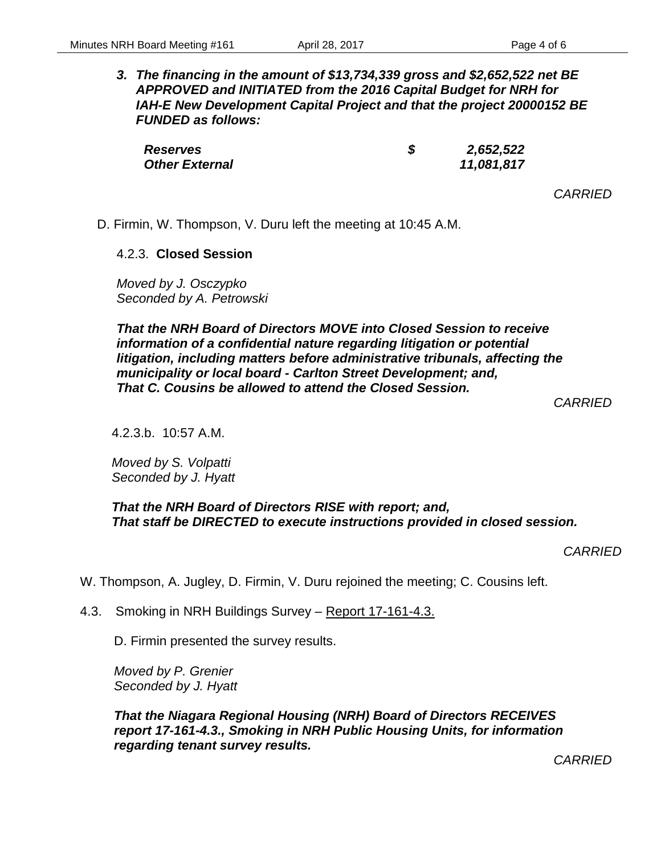*3. The financing in the amount of \$13,734,339 gross and \$2,652,522 net BE APPROVED and INITIATED from the 2016 Capital Budget for NRH for IAH-E New Development Capital Project and that the project 20000152 BE FUNDED as follows:* 

| <b>Reserves</b>       | 2,652,522  |
|-----------------------|------------|
| <b>Other External</b> | 11,081,817 |

*CARRIED*

D. Firmin, W. Thompson, V. Duru left the meeting at 10:45 A.M.

#### 4.2.3. **Closed Session**

*Moved by J. Osczypko Seconded by A. Petrowski*

*That the NRH Board of Directors MOVE into Closed Session to receive information of a confidential nature regarding litigation or potential litigation, including matters before administrative tribunals, affecting the municipality or local board - Carlton Street Development; and, That C. Cousins be allowed to attend the Closed Session.*

*CARRIED*

4.2.3.b. 10:57 A.M.

*Moved by S. Volpatti Seconded by J. Hyatt*

*That the NRH Board of Directors RISE with report; and, That staff be DIRECTED to execute instructions provided in closed session.*

*CARRIED*

W. Thompson, A. Jugley, D. Firmin, V. Duru rejoined the meeting; C. Cousins left.

4.3. Smoking in NRH Buildings Survey – Report 17-161-4.3.

D. Firmin presented the survey results.

*Moved by P. Grenier Seconded by J. Hyatt*

*That the Niagara Regional Housing (NRH) Board of Directors RECEIVES report 17-161-4.3., Smoking in NRH Public Housing Units, for information regarding tenant survey results.*

*CARRIED*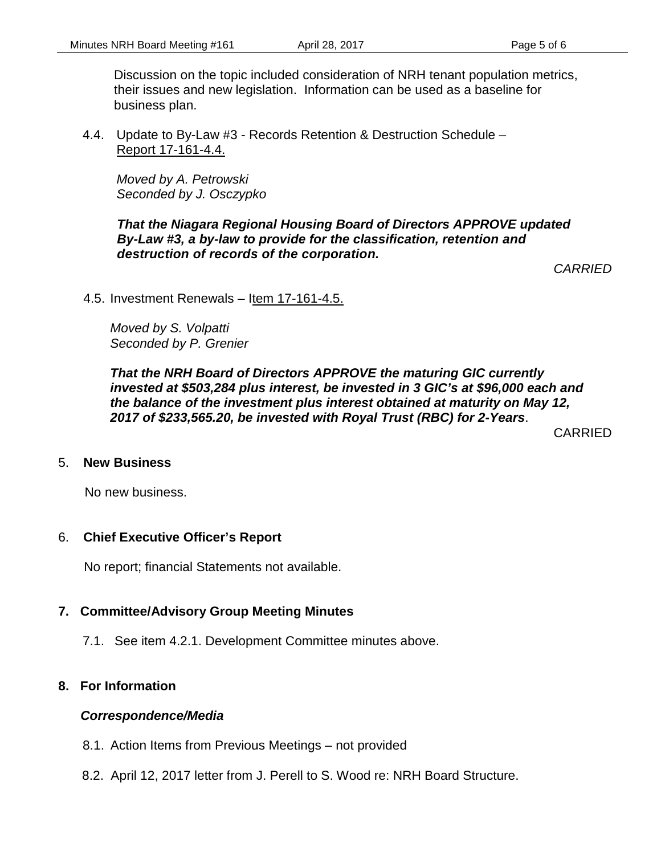Discussion on the topic included consideration of NRH tenant population metrics, their issues and new legislation. Information can be used as a baseline for business plan.

4.4. Update to By-Law #3 - Records Retention & Destruction Schedule – Report 17-161-4.4.

*Moved by A. Petrowski Seconded by J. Osczypko*

*That the Niagara Regional Housing Board of Directors APPROVE updated By-Law #3, a by-law to provide for the classification, retention and destruction of records of the corporation.*

*CARRIED*

4.5. Investment Renewals – Item 17-161-4.5.

*Moved by S. Volpatti Seconded by P. Grenier*

*That the NRH Board of Directors APPROVE the maturing GIC currently invested at \$503,284 plus interest, be invested in 3 GIC's at \$96,000 each and the balance of the investment plus interest obtained at maturity on May 12, 2017 of \$233,565.20, be invested with Royal Trust (RBC) for 2-Years*.

CARRIED

#### 5. **New Business**

No new business.

#### 6. **Chief Executive Officer's Report**

No report; financial Statements not available.

### **7. Committee/Advisory Group Meeting Minutes**

7.1. See item 4.2.1. Development Committee minutes above.

### **8. For Information**

#### *Correspondence/Media*

- 8.1. Action Items from Previous Meetings not provided
- 8.2. April 12, 2017 letter from J. Perell to S. Wood re: NRH Board Structure.